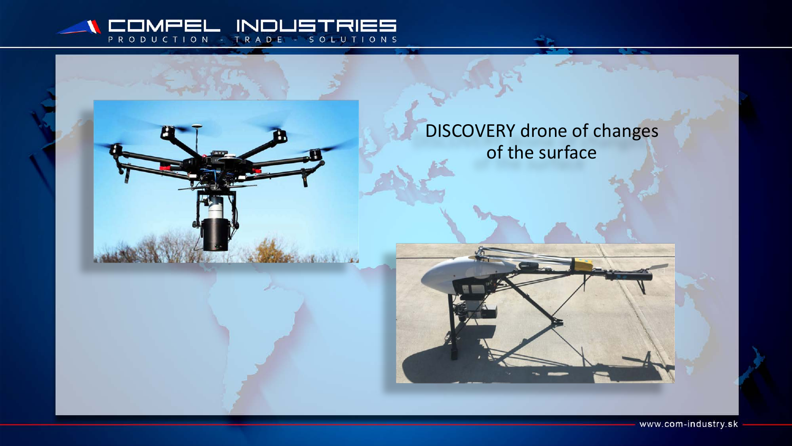

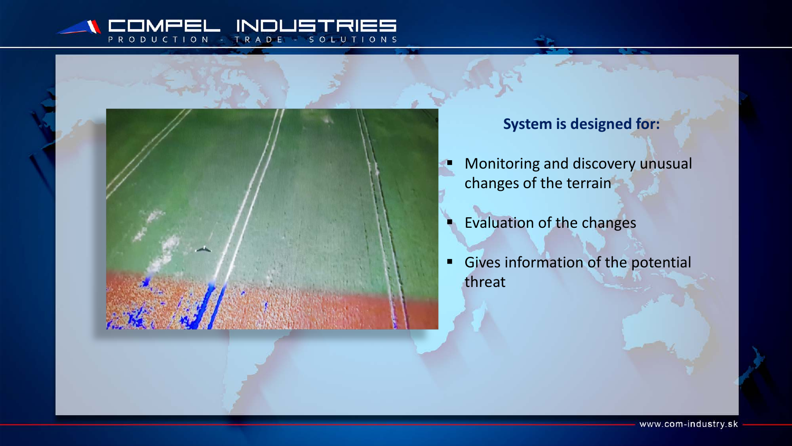#### $\mathsf{IN}$ P R O SOLUTIONS TION DUC R A D E



## **System is designed for:**

- **Monitoring and discovery unusual** changes of the terrain
- **Evaluation of the changes**
- Gives information of the potential threat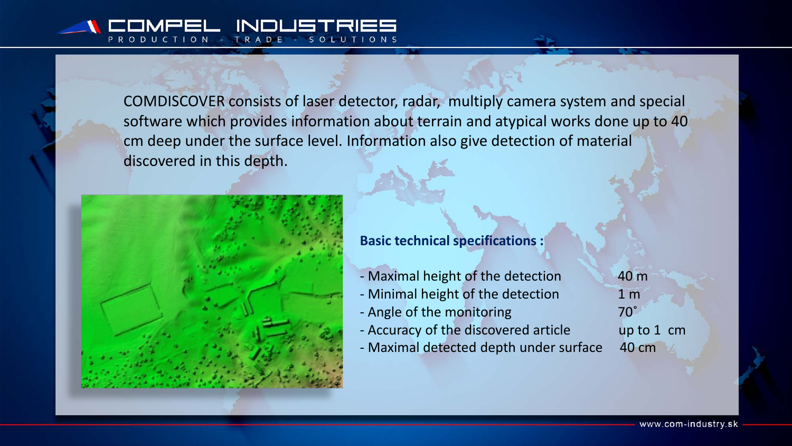COMDISCOVER consists of laser detector, radar, multiply camera system and special software which provides information about terrain and atypical works done up to 40 cm deep under the surface level. Information also give detection of material discovered in this depth.



### **Basic technical specifications :**

- Maximal height of the detection 40 m
- Minimal height of the detection 1 m
- Angle of the monitoring and the monomed and the  $70^{\circ}$
- Accuracy of the discovered article up to 1 cm
- Maximal detected depth under surface 40 cm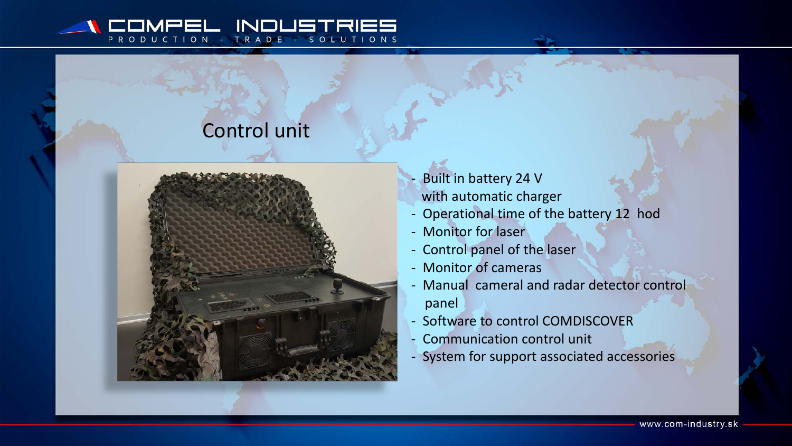#### INII PRO TRADE - SOLUTIONS UCTION

# Control unit



- Built in battery 24 V with automatic charger
- Operational time of the battery 12 hod
- Monitor for laser
- Control panel of the laser
- Monitor of cameras
- Manual cameral and radar detector control panel
- Software to control COMDISCOVER
- Communication control unit
- System for support associated accessories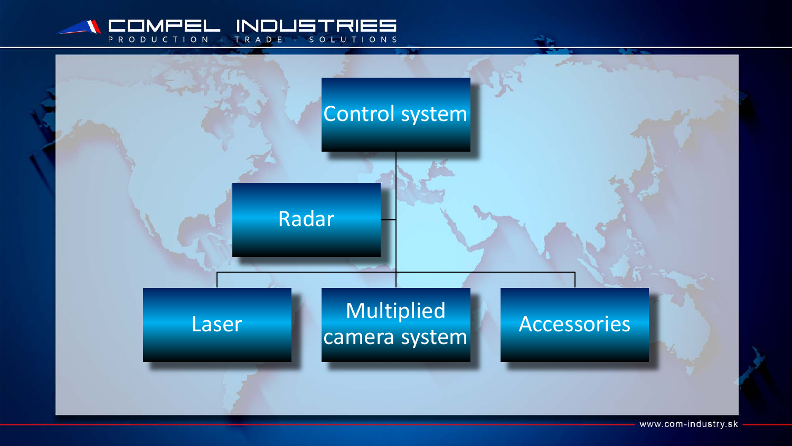



www.com-industry.sk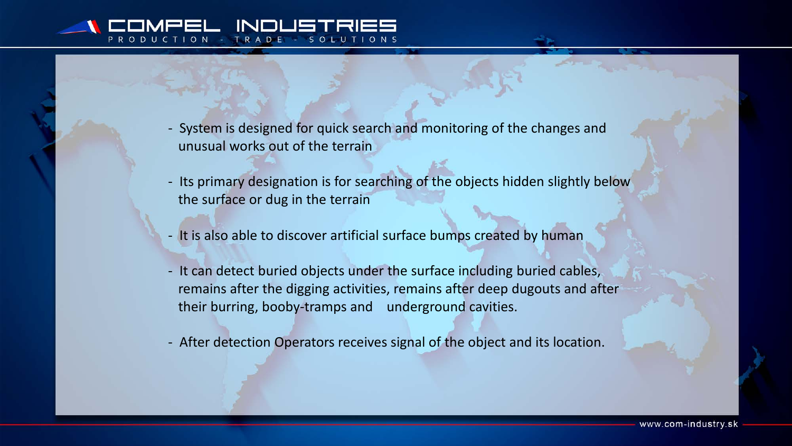- System is designed for quick search and monitoring of the changes and unusual works out of the terrain

- Its primary designation is for searching of the objects hidden slightly below the surface or dug in the terrain
- It is also able to discover artificial surface bumps created by human
- It can detect buried objects under the surface including buried cables, remains after the digging activities, remains after deep dugouts and after their burring, booby-tramps and underground cavities.
- After detection Operators receives signal of the object and its location.